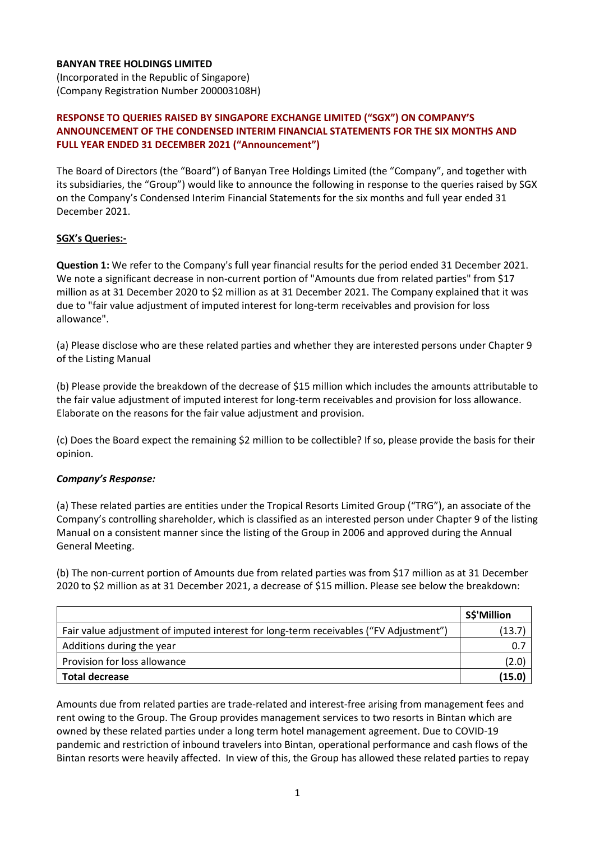## **BANYAN TREE HOLDINGS LIMITED**

(Incorporated in the Republic of Singapore) (Company Registration Number 200003108H)

## **RESPONSE TO QUERIES RAISED BY SINGAPORE EXCHANGE LIMITED ("SGX") ON COMPANY'S ANNOUNCEMENT OF THE CONDENSED INTERIM FINANCIAL STATEMENTS FOR THE SIX MONTHS AND FULL YEAR ENDED 31 DECEMBER 2021 ("Announcement")**

The Board of Directors (the "Board") of Banyan Tree Holdings Limited (the "Company", and together with its subsidiaries, the "Group") would like to announce the following in response to the queries raised by SGX on the Company's Condensed Interim Financial Statements for the six months and full year ended 31 December 2021.

## **SGX's Queries:-**

**Question 1:** We refer to the Company's full year financial results for the period ended 31 December 2021. We note a significant decrease in non-current portion of "Amounts due from related parties" from \$17 million as at 31 December 2020 to \$2 million as at 31 December 2021. The Company explained that it was due to "fair value adjustment of imputed interest for long-term receivables and provision for loss allowance".

(a) Please disclose who are these related parties and whether they are interested persons under Chapter 9 of the Listing Manual

(b) Please provide the breakdown of the decrease of \$15 million which includes the amounts attributable to the fair value adjustment of imputed interest for long-term receivables and provision for loss allowance. Elaborate on the reasons for the fair value adjustment and provision.

(c) Does the Board expect the remaining \$2 million to be collectible? If so, please provide the basis for their opinion.

## *Company's Response:*

(a) These related parties are entities under the Tropical Resorts Limited Group ("TRG"), an associate of the Company's controlling shareholder, which is classified as an interested person under Chapter 9 of the listing Manual on a consistent manner since the listing of the Group in 2006 and approved during the Annual General Meeting.

(b) The non-current portion of Amounts due from related parties was from \$17 million as at 31 December 2020 to \$2 million as at 31 December 2021, a decrease of \$15 million. Please see below the breakdown:

|                                                                                       | S\$'Million |
|---------------------------------------------------------------------------------------|-------------|
| Fair value adjustment of imputed interest for long-term receivables ("FV Adjustment") | (13.7)      |
| Additions during the year                                                             | 0.7         |
| Provision for loss allowance                                                          | (2.0)       |
| <b>Total decrease</b>                                                                 | (15.0)      |

Amounts due from related parties are trade-related and interest-free arising from management fees and rent owing to the Group. The Group provides management services to two resorts in Bintan which are owned by these related parties under a long term hotel management agreement. Due to COVID-19 pandemic and restriction of inbound travelers into Bintan, operational performance and cash flows of the Bintan resorts were heavily affected. In view of this, the Group has allowed these related parties to repay